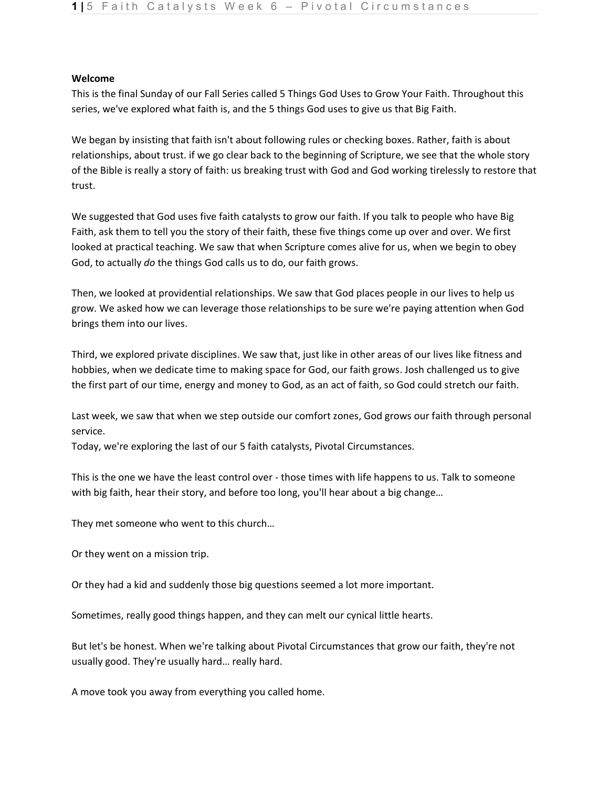## **Welcome**

This is the final Sunday of our Fall Series called 5 Things God Uses to Grow Your Faith. Throughout this series, we've explored what faith is, and the 5 things God uses to give us that Big Faith.

We began by insisting that faith isn't about following rules or checking boxes. Rather, faith is about relationships, about trust. if we go clear back to the beginning of Scripture, we see that the whole story of the Bible is really a story of faith: us breaking trust with God and God working tirelessly to restore that trust.

We suggested that God uses five faith catalysts to grow our faith. If you talk to people who have Big Faith, ask them to tell you the story of their faith, these five things come up over and over. We first looked at practical teaching. We saw that when Scripture comes alive for us, when we begin to obey God, to actually *do* the things God calls us to do, our faith grows.

Then, we looked at providential relationships. We saw that God places people in our lives to help us grow. We asked how we can leverage those relationships to be sure we're paying attention when God brings them into our lives.

Third, we explored private disciplines. We saw that, just like in other areas of our lives like fitness and hobbies, when we dedicate time to making space for God, our faith grows. Josh challenged us to give the first part of our time, energy and money to God, as an act of faith, so God could stretch our faith.

Last week, we saw that when we step outside our comfort zones, God grows our faith through personal service.

Today, we're exploring the last of our 5 faith catalysts, Pivotal Circumstances.

This is the one we have the least control over - those times with life happens to us. Talk to someone with big faith, hear their story, and before too long, you'll hear about a big change…

They met someone who went to this church…

Or they went on a mission trip.

Or they had a kid and suddenly those big questions seemed a lot more important.

Sometimes, really good things happen, and they can melt our cynical little hearts.

But let's be honest. When we're talking about Pivotal Circumstances that grow our faith, they're not usually good. They're usually hard… really hard.

A move took you away from everything you called home.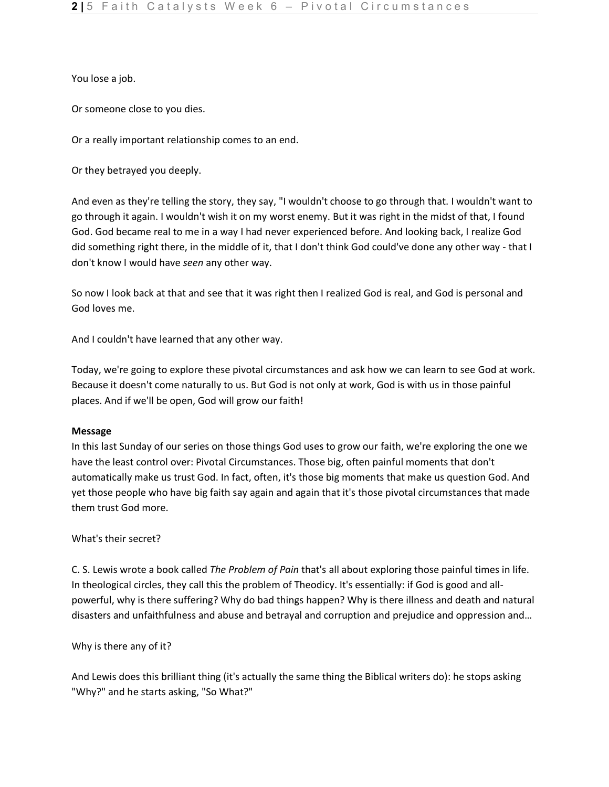You lose a job.

Or someone close to you dies.

Or a really important relationship comes to an end.

Or they betrayed you deeply.

And even as they're telling the story, they say, "I wouldn't choose to go through that. I wouldn't want to go through it again. I wouldn't wish it on my worst enemy. But it was right in the midst of that, I found God. God became real to me in a way I had never experienced before. And looking back, I realize God did something right there, in the middle of it, that I don't think God could've done any other way - that I don't know I would have *seen* any other way.

So now I look back at that and see that it was right then I realized God is real, and God is personal and God loves me.

And I couldn't have learned that any other way.

Today, we're going to explore these pivotal circumstances and ask how we can learn to see God at work. Because it doesn't come naturally to us. But God is not only at work, God is with us in those painful places. And if we'll be open, God will grow our faith!

# **Message**

In this last Sunday of our series on those things God uses to grow our faith, we're exploring the one we have the least control over: Pivotal Circumstances. Those big, often painful moments that don't automatically make us trust God. In fact, often, it's those big moments that make us question God. And yet those people who have big faith say again and again that it's those pivotal circumstances that made them trust God more.

# What's their secret?

C. S. Lewis wrote a book called *The Problem of Pain* that's all about exploring those painful times in life. In theological circles, they call this the problem of Theodicy. It's essentially: if God is good and allpowerful, why is there suffering? Why do bad things happen? Why is there illness and death and natural disasters and unfaithfulness and abuse and betrayal and corruption and prejudice and oppression and…

Why is there any of it?

And Lewis does this brilliant thing (it's actually the same thing the Biblical writers do): he stops asking "Why?" and he starts asking, "So What?"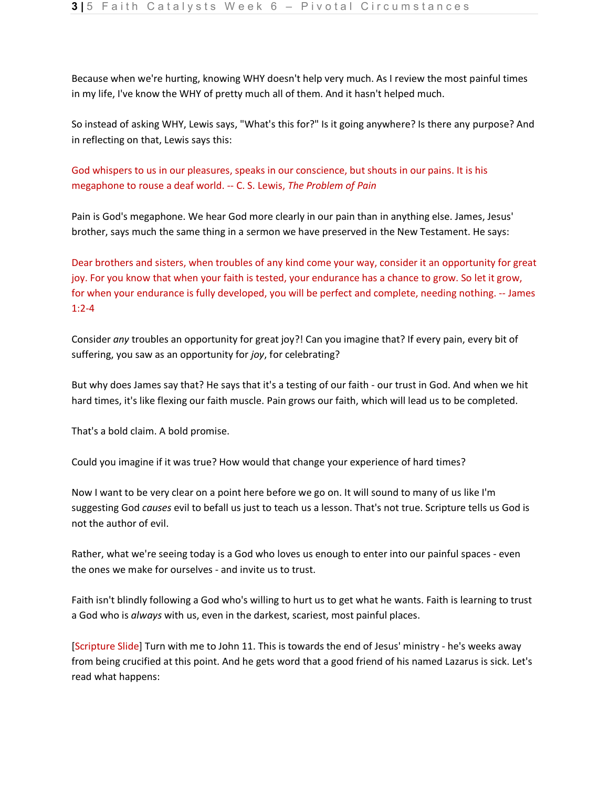Because when we're hurting, knowing WHY doesn't help very much. As I review the most painful times in my life, I've know the WHY of pretty much all of them. And it hasn't helped much.

So instead of asking WHY, Lewis says, "What's this for?" Is it going anywhere? Is there any purpose? And in reflecting on that, Lewis says this:

God whispers to us in our pleasures, speaks in our conscience, but shouts in our pains. It is his megaphone to rouse a deaf world. -- C. S. Lewis, *The Problem of Pain*

Pain is God's megaphone. We hear God more clearly in our pain than in anything else. James, Jesus' brother, says much the same thing in a sermon we have preserved in the New Testament. He says:

Dear brothers and sisters, when troubles of any kind come your way, consider it an opportunity for great joy. For you know that when your faith is tested, your endurance has a chance to grow. So let it grow, for when your endurance is fully developed, you will be perfect and complete, needing nothing. -- James 1:2-4

Consider *any* troubles an opportunity for great joy?! Can you imagine that? If every pain, every bit of suffering, you saw as an opportunity for *joy*, for celebrating?

But why does James say that? He says that it's a testing of our faith - our trust in God. And when we hit hard times, it's like flexing our faith muscle. Pain grows our faith, which will lead us to be completed.

That's a bold claim. A bold promise.

Could you imagine if it was true? How would that change your experience of hard times?

Now I want to be very clear on a point here before we go on. It will sound to many of us like I'm suggesting God *causes* evil to befall us just to teach us a lesson. That's not true. Scripture tells us God is not the author of evil.

Rather, what we're seeing today is a God who loves us enough to enter into our painful spaces - even the ones we make for ourselves - and invite us to trust.

Faith isn't blindly following a God who's willing to hurt us to get what he wants. Faith is learning to trust a God who is *always* with us, even in the darkest, scariest, most painful places.

[Scripture Slide] Turn with me to John 11. This is towards the end of Jesus' ministry - he's weeks away from being crucified at this point. And he gets word that a good friend of his named Lazarus is sick. Let's read what happens: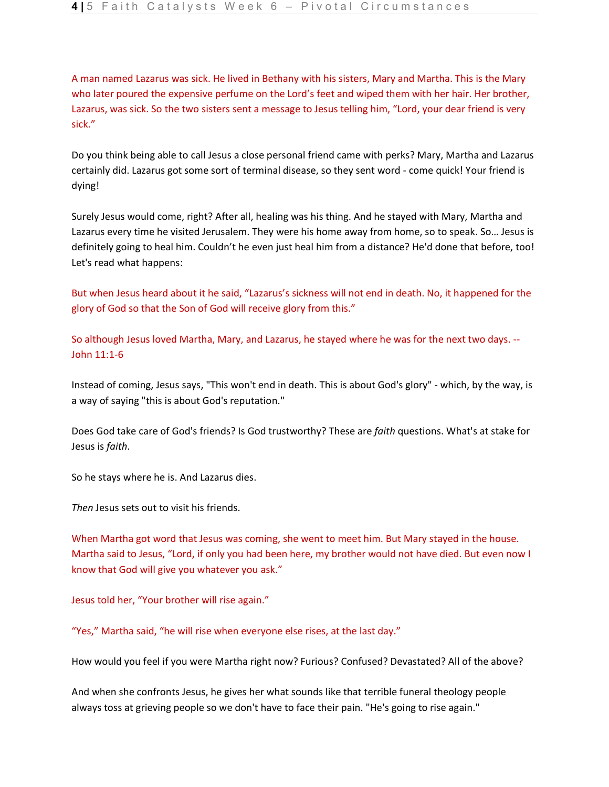A man named Lazarus was sick. He lived in Bethany with his sisters, Mary and Martha. This is the Mary who later poured the expensive perfume on the Lord's feet and wiped them with her hair. Her brother, Lazarus, was sick. So the two sisters sent a message to Jesus telling him, "Lord, your dear friend is very sick."

Do you think being able to call Jesus a close personal friend came with perks? Mary, Martha and Lazarus certainly did. Lazarus got some sort of terminal disease, so they sent word - come quick! Your friend is dying!

Surely Jesus would come, right? After all, healing was his thing. And he stayed with Mary, Martha and Lazarus every time he visited Jerusalem. They were his home away from home, so to speak. So… Jesus is definitely going to heal him. Couldn't he even just heal him from a distance? He'd done that before, too! Let's read what happens:

But when Jesus heard about it he said, "Lazarus's sickness will not end in death. No, it happened for the glory of God so that the Son of God will receive glory from this."

So although Jesus loved Martha, Mary, and Lazarus, he stayed where he was for the next two days. -- John 11:1-6

Instead of coming, Jesus says, "This won't end in death. This is about God's glory" - which, by the way, is a way of saying "this is about God's reputation."

Does God take care of God's friends? Is God trustworthy? These are *faith* questions. What's at stake for Jesus is *faith*.

So he stays where he is. And Lazarus dies.

Then Jesus sets out to visit his friends.

When Martha got word that Jesus was coming, she went to meet him. But Mary stayed in the house. Martha said to Jesus, "Lord, if only you had been here, my brother would not have died. But even now I know that God will give you whatever you ask."

Jesus told her, "Your brother will rise again."

"Yes," Martha said, "he will rise when everyone else rises, at the last day."

How would you feel if you were Martha right now? Furious? Confused? Devastated? All of the above?

And when she confronts Jesus, he gives her what sounds like that terrible funeral theology people always toss at grieving people so we don't have to face their pain. "He's going to rise again."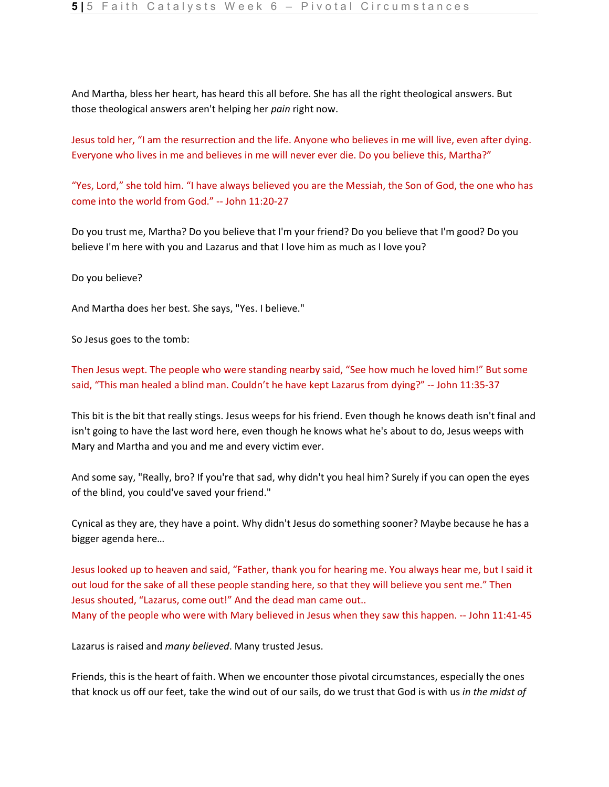And Martha, bless her heart, has heard this all before. She has all the right theological answers. But those theological answers aren't helping her *pain* right now.

Jesus told her, "I am the resurrection and the life. Anyone who believes in me will live, even after dying. Everyone who lives in me and believes in me will never ever die. Do you believe this, Martha?"

"Yes, Lord," she told him. "I have always believed you are the Messiah, the Son of God, the one who has come into the world from God." -- John 11:20-27

Do you trust me, Martha? Do you believe that I'm your friend? Do you believe that I'm good? Do you believe I'm here with you and Lazarus and that I love him as much as I love you?

Do you believe?

And Martha does her best. She says, "Yes. I believe."

So Jesus goes to the tomb:

Then Jesus wept. The people who were standing nearby said, "See how much he loved him!" But some said, "This man healed a blind man. Couldn't he have kept Lazarus from dying?" -- John 11:35-37

This bit is the bit that really stings. Jesus weeps for his friend. Even though he knows death isn't final and isn't going to have the last word here, even though he knows what he's about to do, Jesus weeps with Mary and Martha and you and me and every victim ever.

And some say, "Really, bro? If you're that sad, why didn't you heal him? Surely if you can open the eyes of the blind, you could've saved your friend."

Cynical as they are, they have a point. Why didn't Jesus do something sooner? Maybe because he has a bigger agenda here…

Jesus looked up to heaven and said, "Father, thank you for hearing me. You always hear me, but I said it out loud for the sake of all these people standing here, so that they will believe you sent me." Then Jesus shouted, "Lazarus, come out!" And the dead man came out.. Many of the people who were with Mary believed in Jesus when they saw this happen. -- John 11:41-45

Lazarus is raised and *many believed*. Many trusted Jesus.

Friends, this is the heart of faith. When we encounter those pivotal circumstances, especially the ones that knock us off our feet, take the wind out of our sails, do we trust that God is with us *in the midst of*